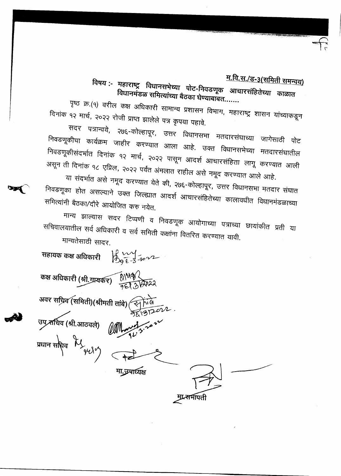## <u>म.वि.स./ड-३(समिती समन्वय)</u>

विषय :- महाराष्ट्र विधानसभेच्या पोट-निवडणूक आचारसंहितेच्या काळात विधानमंडळ समित्यांच्या बैठका घेण्याबाबत.......

पृष्ठ क्र.(१) वरील कक्ष अधिकारी सामान्य प्रशासन विभाग, महाराष्ट्र शासन यांच्याकडून दिनांक १२ मार्च, २०२२ रोजी प्राप्त झालेले पत्र कृपया पहावे.

सदर पत्रान्वये, २७६-कोल्हापूर, उत्तर विधानसभा मतदारसंघाच्या जागेसाठी पोट निवडणूकीचा कार्यक्रम जाहीर करण्यात आला आहे. उक्त विधानसभेच्या मतदारसंघातील निवडणूकीसंदर्भात दिनांक १२ मार्च, २०२२ पासून आदर्श आचारसंहिता लागू करण्यात आली असून ती दिनांक १८ एप्रिल, २०२२ पर्यंत अंमलात राहील असे नमूद करण्यात आले आहे.

या संदर्भात असे नमूद करण्यात येते की, २७६-कोल्हापूर, उत्तर विधानसभा मतदार संघात निवडणूका होत असल्याने उक्त जिल्ह्यात आदर्श आचारसंहितेच्या कालावधीत विधानमंडळाच्या समित्यांनी बैठका/दौरे आयोजित करु नयेत.

मान्य झाल्यास सदर टिप्पणी व निवडणूक आयोगाच्या पत्राच्या छायांकीत प्रती या सचिवालयातील सर्व अधिकारी व सर्व समिती कक्षांना वितरित करण्यात यावी. मान्यतेसाठी सादर.

सहायक कक्ष अधिकारी  $\bigcup_{Q \in -3}^{Q} \bigcup_{Q \in -2}^{Q}$ कक्ष अधिकारी (श्री.ग्रायकर)  $0.0482$ अवर सच्रिव (समिती)(श्रीमती तांबे) उप सचिव (श्री.आठवले) प्रधान सचिव  $\mathcal{H}_{\mathcal{H} \mathcal{X}^{\prime}}$ मा.उपाध्यक्ष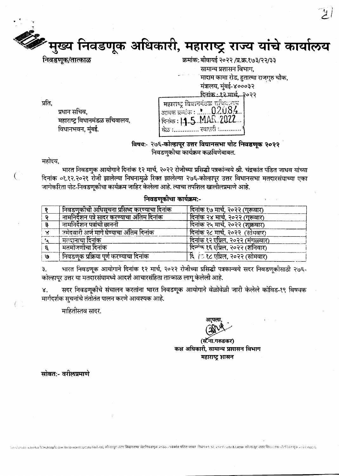# न्दर मुख्य निवडणूक अधिकारी, महाराष्ट्र राज्य यांचे कार्यालय

प्रधान सचिव,

विधानभवन, मुंबई.

महाराष्ट्र विधानमंडळ सचिवालय,

सामान्य प्रशासन विभाग. मादाम कामा रोड, हुतात्मा राजगुरु चौक, मंत्रालय, मुंबई-४०००३२ <u> दिनांक : १२ मार्च, २</u>०२२

|              | महाराष्ट्र विधाननंडळ सोथव्युतय<br>  आवक क्रमांक : . $\cdot$ $02084$ |
|--------------|---------------------------------------------------------------------|
|              | दिनांक: 11.5 MAR 2022                                               |
| <u>ਕੋਲ :</u> | . स्वाध्यरी :                                                       |

विषय:- २७६-कोल्हापूर उत्तर विधानसभा पोट निवडणूक २०२२ निवडणकीचा कार्यक्रम कळविणेबाबत.

महोदय.

€

प्रति.

भारत निवडणुक आयोगाने दिनांक १२ मार्च, २०२२ रोजीच्या प्रसिद्धी पत्रकांन्वये श्री. चंद्रकांत पंडित जाधव यांच्या दिनांक ०१.१२.२०२१ रोजी झालेल्या निधनामुळे रिक्त झालेल्या २७६-कोल्हापूर उत्तर विधानसभा मतदारसंघाच्या एका जागेकरिता पोट-निवडणकोचा कार्यक्रम जाहिर केलेला आहे. त्याचा तपशिल खालीलप्रमाणे आहे.

#### निवडणकीचा कार्यक्रम:-

|    | निवडणकोची अधिसूचना प्रसिध्द करण्याचा दिनांक | दिनांक १७ मार्च, २०२२ (गुरूवार)  |
|----|---------------------------------------------|----------------------------------|
|    | नामनिदेशन पत्रे सादर करण्याचा अंतिम दिनांक  | दिनांक २४ मार्च, २०२२ (गुरूवार)  |
|    | नामनिर्देशन पत्रांची छाननी                  | दिनांक २५ मार्च, २०२२ (शुक्रवार) |
|    | उमेदवारी अर्ज मागे घेण्याचा अंतिम दिनांक    | दिनांक २८ मार्च, २०२२ (सोमवार)   |
|    | मतदानाचा दिनांक                             | दिनांक १२ एप्रिल, २०२२ (मंगळवार) |
|    | मतमोजणीचा दिनांक                            | दिन्गंक १६ एप्रिल, २०२२ (शनिवार) |
| 19 | निवडणक प्रक्रिया पूर्ण करण्याचा दिनांक      | दि । १८ एप्रिल, २०२२ (सोमवार)    |

भारत निवडणूक आयोगाने दिनांक १२ मार्च, २०२२ रोजीच्या प्रसिद्धी पत्रकान्वये सदर निवडणूकीसाठी २७६-३. कोल्हापुर उत्तर या मतदारसंघामध्ये आदर्श आचारसंहिता तात्काळ लागू केलेली आहे.

सदर निवडणूकीचे संचालन करतांना भारत निवडणूक आयोगाने वेळोवेळी जारी केलेले कोविड-१९ विषयक Χ. मार्गदर्शक सूचनांचे तंतोतंत पालन करणे आवश्यक आहे.

माहितीस्तव सादर.

(सॅ.ना.गरुडकर) कक्ष अधिकारी, सामान्य प्रशासन विभाग महाराष्ट्र शासन

सोबत:- वरीलप्रमाणे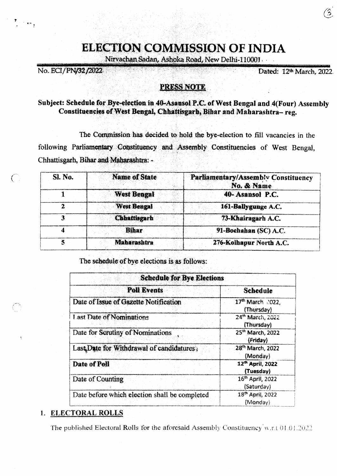## **ELECTION COMMISSION OF INDIA**

Nirvachan Sadan, Ashoka Road, New Delhi-110001

No. ECI/PN/32/2022

Dated: 12th March. 2022.

3,

#### PRESS NOTE

#### Subject: Schedule for Bye-election in 40-Asansol P.C. of West Bengal and 4(Four) Assembly Constituencies of West Bengal, Chhattisgarh, Bihar and Maharashtra-reg.

The Commission has decided to hold the bye-election to fill vacancies in the following Parliamentary Constituency and Assembly Constituencies of West Bengal, Chhattisgarh, Bihar and Maharashtra: -

| <b>Sl. No.</b> | <b>Name of State</b> | Parliamentary/Assembly Constituency<br>No. & Name |
|----------------|----------------------|---------------------------------------------------|
|                | <b>West Bengal</b>   | 40-Asansol P.C.                                   |
|                | <b>West Bengal</b>   | 161-Ballygunge A.C.                               |
|                | <b>Chhattisgarh</b>  | 73-Khairagarh A.C.                                |
|                | <b>Bihar</b>         | 91-Bochahan (SC) A.C.                             |
|                | Maharashtra          | 276-Kolhapur North A.C.                           |

The schedule of bye elections is as follows:

| <b>Schedule for Bye Elections</b>             |                                            |  |
|-----------------------------------------------|--------------------------------------------|--|
| <b>Poll Events</b>                            | <b>Schedule</b>                            |  |
| Date of Issue of Gazette Notification         | 17th March 2022.<br>(Thursday)             |  |
| Last Date of Nominations                      | 24 <sup>th</sup> March, 2022<br>(Thursday) |  |
| Date for Scrutiny of Nominations              | 25 <sup>th</sup> March, 2022<br>(Friday)   |  |
| Last Date for Withdrawal of candidatures.     | 28 <sup>th</sup> March, 2022<br>(Monday)   |  |
| Date of Poll                                  | 12th April, 2022<br>(Tuesday)              |  |
| Date of Counting                              | 16th April, 2022<br>(Saturday)             |  |
| Date before which election shall be completed | 18th April, 2022<br>(Monday)               |  |

#### 1. ELECTORAL ROLLS

The published Electoral Rolls for the aforesaid Assembly Constituency w.r.t 01.01.2022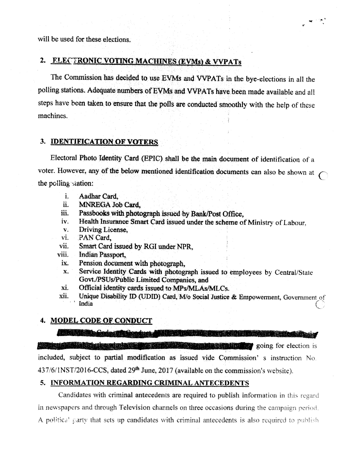will be used for these elections.

#### 2. FLECTRONIC VOTING MACHINES (EVMs) & VVPATs

The Commission has decided to use EVMs and VVPATs in the bye-elections in all the polling stations. Adequate numbers of EVMs and VVPATs have been made available and all steps have been taken to ensure that the polls are conducted smoothly with the help of these machines.

#### 3. IDENTIFICATION OF VOTERS

Electoral Photo Identity Card (EPIC) shall be the main document of identification of a voter. However, any of the below mentioned identification documents can also be shown at the polling station:

- Aadhar Card. i.
- ii. MNREGA Job Card.
- Passbooks with photograph issued by Bank/Post Office, iii.
- Health Insurance Smart Card issued under the scheme of Ministry of Labour, iv.
- Driving License.  $\mathbf{V}_\star$
- PAN Card. vi.
- Smart Card issued by RGI under NPR. vii.
- **Indian Passport** viii.
- ix. Pension document with photograph.
- Service Identity Cards with photograph issued to employees by Central/State  $\mathbf{X}_{\bullet}$ Govt./PSUs/Public Limited Companies, and
- Official identity cards issued to MPs/MLAs/MLCs. хi.
- Unique Disability ID (UDID) Card, M/o Social Justice & Empowerment, Government of xii. India

#### 4. MODEL CODE OF CONDUCT

**The Code: All Conduct of The Code of the Code of the Code of the Code of the Code of the Code of the Code of t** 

**Pierre de la changina de Car Excession of the company of the company of the company of the company of the company of the company of the company of the company of the company of the company of the company of the company of the company of the company o** included, subject to partial modification as issued vide Commission's instruction No. 437/6/1NST/2016-CCS, dated 29<sup>th</sup> June, 2017 (available on the commission's website).

#### 5. INFORMATION REGARDING CRIMINAL ANTECEDENTS

Candidates with criminal antecedents are required to publish information in this regard in newspapers and through Television channels on three occasions during the campaign period. A political party that sets up candidates with criminal antecedents is also required to publish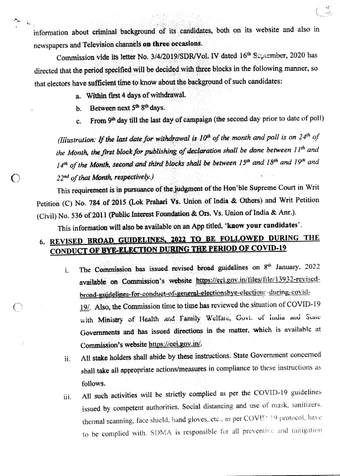information about criminal background of its candidates, both on its website and also in newspapers and Television channels on three occasions.

Commission vide its letter No. 3/4/2019/SDR/Vol. IV dated 16<sup>th</sup> September, 2020 has directed that the period specified will be decided with three blocks in the following manner, so that electors have sufficient time to know about the background of such candidates:

a. Within first 4 days of withdrawal.

Between next 5<sup>th</sup> 8<sup>th</sup> days. b.

بتوالد ो र

 $\bigcap$ 

From 9th day till the last day of campaign (the second day prior to date of poll)  $\mathbf{c}$ .

(Illustration: If the last date for withdrawal is  $10<sup>th</sup>$  of the month and poll is on  $24<sup>th</sup>$  of the Month, the first block for publishing of declaration shall be done between  $H^{th}$  and  $14<sup>th</sup>$  of the Month, second and third blacks shall be between 15<sup>th</sup> and 18<sup>th</sup> and 19<sup>th</sup> and 22nd of that Month, respectively.)

This requirement is in pursuance of the judgment of the Hon'ble Supreme Court in Writ Petition (C) No. 784 of 2015 (Lok Prahari Vs. Union of India & Others) and Writ Petition (Civil) No. 536 of 2011 (Public Interest Foundation & Ors. Vs. Union of India & Anr.).

This information will also be available on an App titled, 'know your candidates'.

### 6. REVISED BROAD GUIDELINES, 2022 TO BE FOLLOWED DURING THE **CONDUCT OF BYE-ELECTION DURING THE PERIOD OF COVID-19**

- The Commission has issued revised broad guidelines on 8<sup>th</sup> January, 2022  $\mathbf{i}$ . available on Commission's website https://eci.gov.in/files/file/13932-revisedbroad-guidelines-for-conduct-of-general-electionsbye-elections-during-covid-19/. Also, the Commission time to time has reviewed the situation of COVID-19 with Ministry of Health and Family Welfare, Govt. of India and State Governments and has issued directions in the matter, which is available at Commission's website https://eci.gov.in/.
- All stake holders shall abide by these instructions. State Government concerned ii. shall take all appropriate actions/measures in compliance to these instructions as follows.
- All such activities will be strictly complied as per the COVID-19 guidelines iii. issued by competent authorities. Social distancing and use of mask, sanitizers, thermal scanning, face shield, hand gloves, etc., as per COVIT: 19 protocol, have to be complied with. SDMA is responsible for all preventive and mitigation